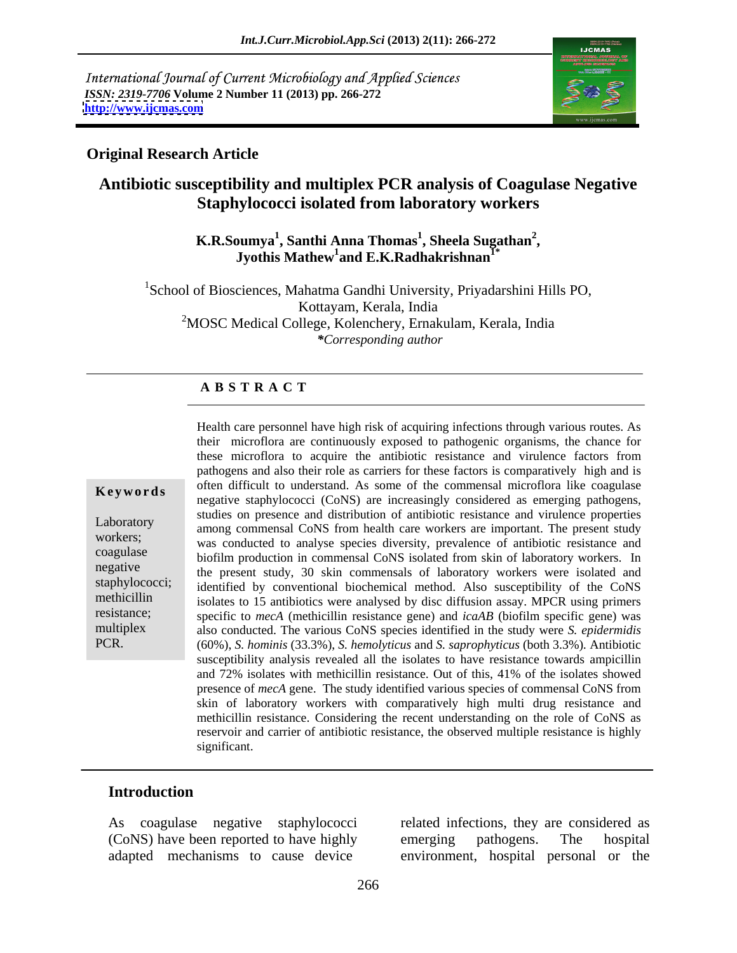International Journal of Current Microbiology and Applied Sciences *ISSN: 2319-7706* **Volume 2 Number 11 (2013) pp. 266-272 <http://www.ijcmas.com>**



### **Original Research Article**

## **Antibiotic susceptibility and multiplex PCR analysis of Coagulase Negative Staphylococci isolated from laboratory workers**

### **K.R.Soumya<sup>1</sup> , Santhi Anna Thomas<sup>1</sup> , Jyothis Mathew1 and E.K.Radhakrishnan1\* , Sheela Sugathan<sup>2</sup>**

<sup>1</sup>School of Biosciences, Mahatma Gandhi University, Priyadarshini Hills PO, Kottayam, Kerala, India <sup>2</sup>MOSC Medical College, Kolenchery, Ernakulam, Kerala, India *\*Corresponding author*

### **A B S T R A C T**

**Keywords** onen unifold to understand. As some of the commensal incrotional like coaguase negative staphylococci (CoNS) are increasingly considered as emerging pathogens, Laboratory among commensal CoNS from health care workers are important. The present study workers; was conducted to analyse species diversity, prevalence of antibiotic resistance and coagulase biofilm production in commensal CoNS isolated from skin of laboratory workers. In negative the present study, 30 skin commensals of laboratory workers were isolated and staphylococci; identified by conventional biochemical method. Also susceptibility of the CoNS methicillin isolates to 15 antibiotics were analysed by disc diffusion assay. MPCR using primers resistance; specific to *mecA* (methicillin resistance gene) and *icaAB* (biofilm specific gene) was multiplex also conducted. The various CoNS species identified in the study were *S. epidermidis* PCR. (60%), *S. hominis* (33.3%), *S. hemolyticus* and *S. saprophyticus* (both 3.3%)*.* Antibiotic Health care personnel have high risk of acquiring infectionsthrough various routes. As their microflora are continuously exposed to pathogenic organisms, the chance for these microflora to acquire the antibiotic resistance and virulence factors from pathogens and also their role as carriers for these factors is comparatively high and is often difficult to understand. As some of the commensal microflora like coagulase studies on presence and distribution of antibiotic resistance and virulence properties susceptibility analysis revealed all the isolates to have resistance towards ampicillin and 72% isolates with methicillin resistance. Out of this, 41% of the isolates showed presence of *mecA* gene. The study identified various species of commensal CoNS from skin of laboratory workers with comparatively high multi drug resistance and methicillin resistance. Considering the recent understanding on the role of CoNS as reservoir and carrier of antibiotic resistance, the observed multiple resistance is highly significant.

### **Introduction**

As coagulase negative staphylococci related infections, they are considered as (CoNS) have been reported to have highly emerging pathogens. The hospital

adapted mechanisms to cause device environment, hospital personal or the emerging pathogens. The hospital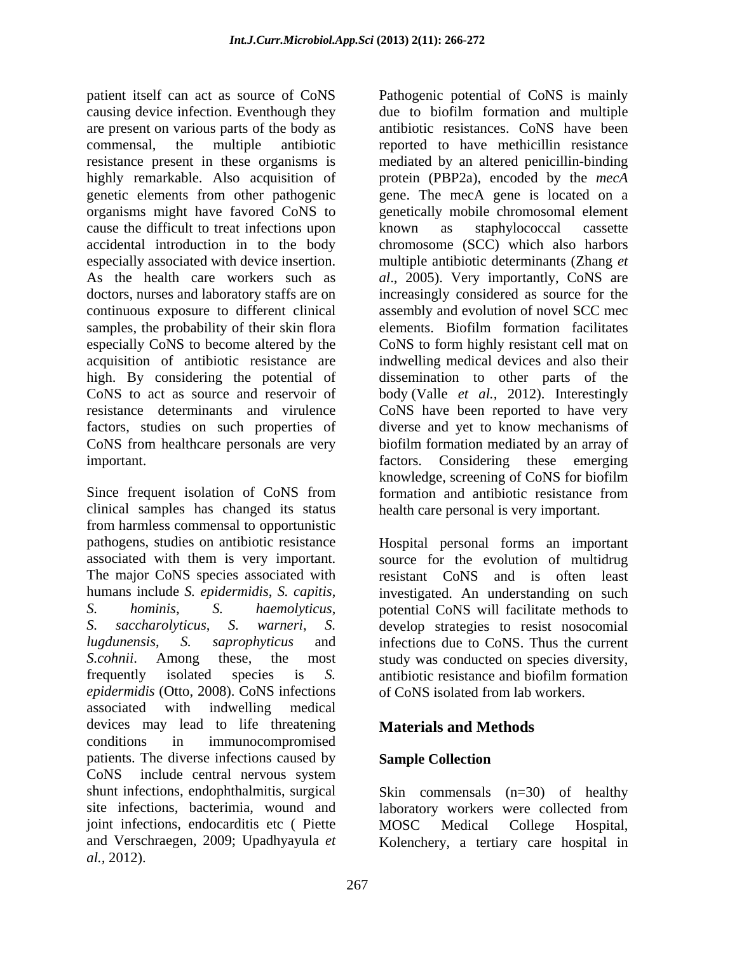patient itself can act as source of CoNS Pathogenic potential of CoNS is mainly causing device infection. Eventhough they due to biofilm formation and multiple are present on various parts of the body as commensal, the multiple antibiotic reported to have methicillin resistance resistance present in these organisms is mediated by an altered penicillin-binding highly remarkable. Also acquisition of genetic elements from other pathogenic gene. The mecA gene is located on a organisms might have favored CoNS to genetically mobile chromosomal element cause the difficult to treat infections upon hown as staphylococcal cassette accidental introduction in to the body chromosome (SCC) which also harbors especially associated with device insertion. multiple antibiotic determinants (Zhang *et*  As the health care workers such as al., 2005). Very importantly, CoNS are doctors, nurses and laboratory staffs are on increasingly considered as source for the continuous exposure to different clinical samples, the probability of their skin flora elements. Biofilm formation facilitates especially CoNS to become altered by the CoNS to form highly resistant cell mat on acquisition of antibiotic resistance are indwelling medical devices and also their high. By considering the potential of dissemination to other parts of the CoNS to act as source and reservoir of body (Valle *et al.,* 2012). Interestingly resistance determinants and virulence CoNS have been reported to have very factors, studies on such properties of diverse and yet to know mechanisms of CoNS from healthcare personals are very biofilm formation mediated by an array of important. factors. Considering these emerging

Since frequent isolation of CoNS from formation and antibiotic resistance from clinical samples has changed its status from harmless commensal to opportunistic pathogens, studies on antibiotic resistance Hospital personal forms an important associated with them is very important. Source for the evolution of multidrug The major CoNS species associated with resistant CoNS and is often least humans include *S. epidermidis*, *S. capitis*, *S. hominis*, *S. haemolyticus*, potential CoNS will facilitate methods to *S. saccharolyticus*, *S. warneri*, *S.*  develop strategies to resist nosocomial *lugdunensis*, *S. saprophyticus* and infections due to CoNS. Thus the current S.cohnii. Among these, the most study was conducted on species diversity, frequently isolated species is *S. epidermidis* (Otto, 2008). CoNS infections associated with indwelling medical devices may lead to life threatening **Materials and Methods** conditions in immunocompromised patients. The diverse infections caused by **Sample Collection** CoNS include central nervous system shunt infections, endophthalmitis, surgical site infections, bacterimia, wound and laboratory workers were collected from joint infections, endocarditis etc ( Piette MOSC Medical College Hospital, and Verschraegen, 2009; Upadhyayula *et*  Kolenchery, a tertiary care hospital in*al.,* 2012).

antibiotic resistances. CoNS have been protein (PBP2a), encoded by the *mecA*  known as staphylococcal cassette assembly and evolution of novel SCC mec elements. Biofilm formation facilitates knowledge, screening of CoNS for biofilm formation and antibiotic resistance from health care personal is very important.

investigated. An understanding on such antibiotic resistance and biofilm formation of CoNS isolated from lab workers.

## **Materials and Methods**

## **Sample Collection**

Skin commensals (n=30) of healthy laboratory workers were collected from MOSC Medical College Hospital,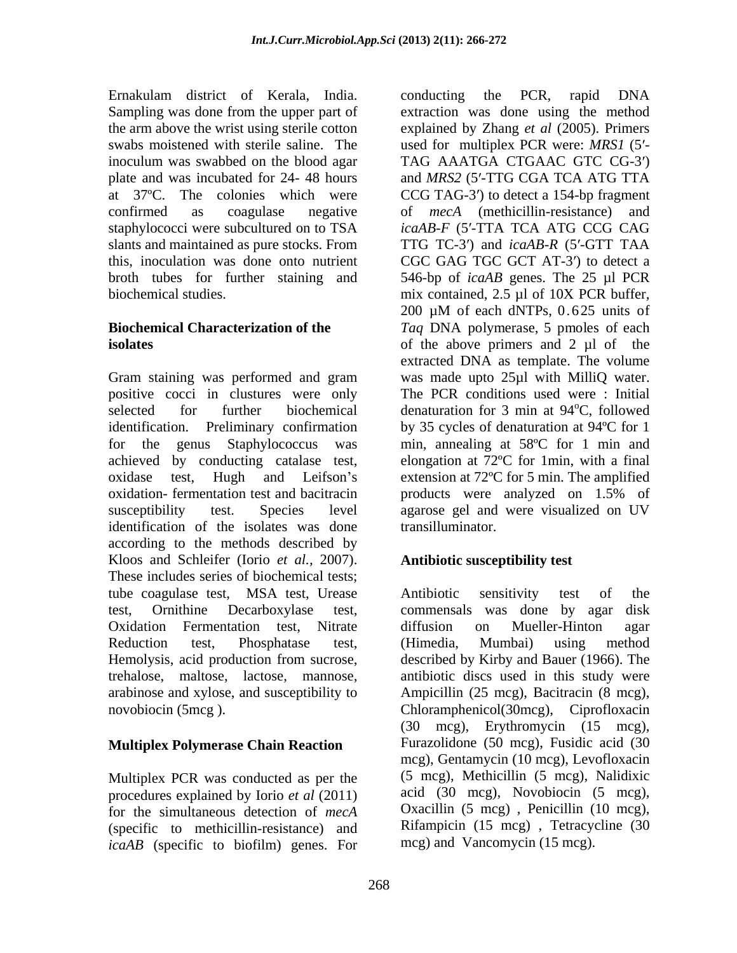Ernakulam district of Kerala, India. slants and maintained as pure stocks. From

positive cocci in clustures were only oxidation- fermentation test and bacitracin by a products were analyzed on 1.5% of identification of the isolates was done according to the methods described by Kloos and Schleifer (Iorio *et al.,* 2007). These includes series of biochemical tests; tube coagulase test, MSA test, Urease test, Ornithine Decarboxylase test, commensals was done by agar disk Oxidation Fermentation test, Nitrate Reduction test, Phosphatase test, (Himedia, Mumbai) using method Hemolysis, acid production from sucrose, described by Kirby and Bauer (1966). The trehalose, maltose, lactose, mannose, antibiotic discs used in this study were arabinose and xylose, and susceptibility to Ampicillin (25 mcg), Bacitracin (8 mcg), novobiocin (5mcg ). Chloramphenicol(30mcg), Ciprofloxacin

### **Multiplex Polymerase Chain Reaction**

Multiplex PCR was conducted as per the procedures explained by Iorio *et al* (2011) for the simultaneous detection of *mecA*  (specific to methicillin-resistance) and *icaAB* (specific to biofilm) genes. For

Sampling was done from the upper part of extraction was done using the method the arm above the wrist using sterile cotton explained by Zhang *et al* (2005). Primers swabs moistened with sterile saline. The used for multiplex PCR were: *MRS1* (5<sup>'</sup>inoculum was swabbed on the blood agar TAG AAATGA CTGAAC GTC CG-3') plate and was incubated for 24-48 hours and *MRS2* (5'-TTG CGA TCA ATG TTA at 37°C. The colonies which were CCG TAG-3' to detect a 154-bp fragment confirmed as coagulase negative of *mecA* (methicillin-resistance) and staphylococci were subcultured on to TSA *icaAB-F* (5'-TTA TCA ATG CCG CAG this, inoculation was done onto nutrient CGC GAG TGC GCT AT-3') to detect a broth tubes for further staining and 546-bp of *icaAB* genes. The 25 µl PCR biochemical studies. mix contained, 2.5 µl of 10X PCR buffer, **Biochemical Characterization of the**  *Taq* DNA polymerase, 5 pmoles of each **isolates** of the above primers and 2 µl of the Gram staining was performed and gram was made upto 25µl with MilliQ water. selected for further biochemical denaturation for 3 min at 94<sup>o</sup>C, followed identification. Preliminary confirmation by 35 cycles of denaturation at 94ºC for 1 for the genus Staphylococcus was min, annealing at 58ºC for 1 min and achieved by conducting catalase test, elongation at 72ºC for 1min, with a final oxidase test, Hugh and Leifson's extension at 72°C for 5 min. The amplified susceptibility test. Species level agarose gel and were visualized on UV conducting the PCR, rapid DNA TAG AAATGA CTGAAC GTC CG-3') *icaAB-F* (5'-TTA TCA ATG CCG CAG TTG TC-3') and *icaAB-R* (5'-GTT TAA 200 µM of each dNTPs, 0.625 units of extracted DNA as template. The volume The PCR conditions used were : Initial <sup>o</sup>C, followed products were analyzed on 1.5% of transilluminator.

## **Antibiotic susceptibility test**

Antibiotic sensitivity test of the diffusion on Mueller-Hinton agar (Himedia, Mumbai) using method (30 mcg), Erythromycin (15 mcg), Furazolidone (50 mcg), Fusidic acid (30 mcg), Gentamycin (10 mcg), Levofloxacin (5 mcg), Methicillin (5 mcg), Nalidixic acid (30 mcg), Novobiocin (5 mcg), Oxacillin (5 mcg) , Penicillin (10 mcg), Rifampicin (15 mcg) , Tetracycline (30 mcg) and Vancomycin (15 mcg).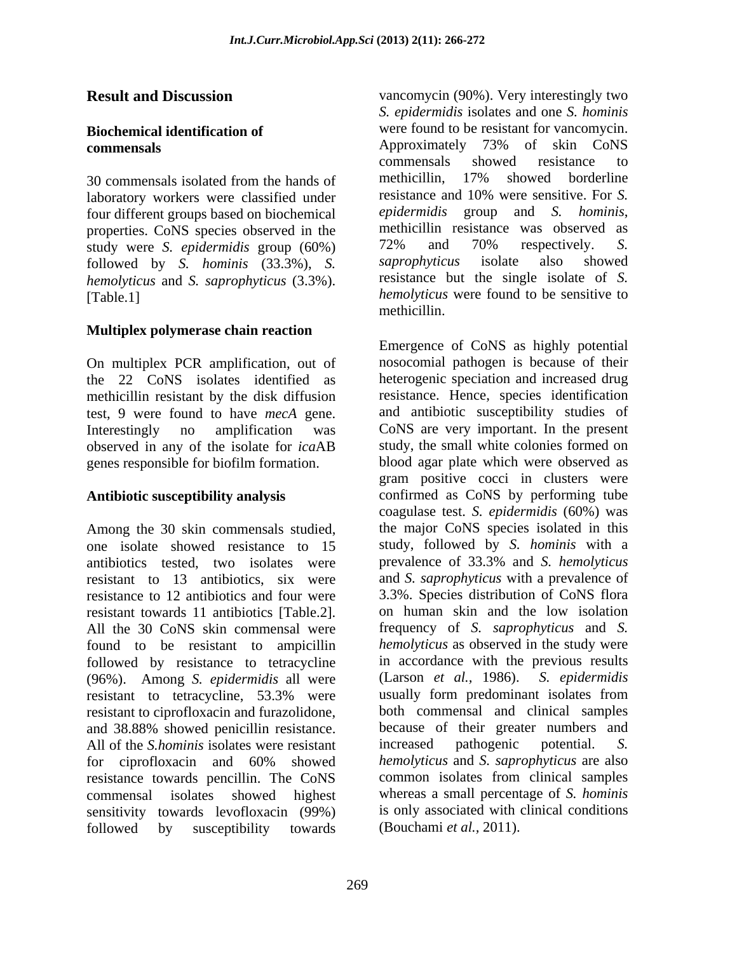laboratory workers were classified under<br>four different groups based on biochemical epidermidis group and S. hominis, four different groups based on biochemical *epidermidis* group and *S. hominis,*<br>properties CoNS species observed in the methicillin resistance was observed as properties. CoNS species observed in the methicillin resistance was observed as study were S *enidermidis* group (60%) 72% and 70% respectively. S. study were *S. epidermidis* group (60%) 72% and 70% respectively. *S.*<br>followed by *S. hominis* (33.3%) *S. saprophyticus* isolate also showed followed by *S. hominis* (33.3%), *S. hemolyticus* and *S. saprophyticus* (3.3%).

### **Multiplex polymerase chain reaction**

On multiplex PCR amplification, out of methicillin resistant by the disk diffusion test, 9 were found to have *mecA* gene. observed in any of the isolate for *ica*AB genes responsible for biofilm formation.

Among the 30 skin commensals studied, one isolate showed resistance to 15 study, followed by *S. hominis* with a antibiotics tested, two isolates were prevalence of 33.3% and S. hemolyticus resistant to 13 antibiotics, six were and *S. saprophyticus* with a prevalence of resistance to 12 antibiotics and four were 3.3%. Species distribution of CoNS flora<br>resistant towards 11 antibiotics [Table 2] on human skin and the low isolation resistant towards 11 antibiotics [Table.2]. All the 30 CoNS skin commensal were frequency of *S. saprophyticus* and *S.*  found to be resistant to ampicillin followed by resistance to tetracycline (96%). Among *S. epidermidis* all were resistant to tetracycline, 53.3% were resistant to ciprofloxacin and furazolidone, and 38.88% showed penicillin resistance. because of their greater numbers and All of the *S.hominis* isolates were resistant increased pathogenic potential. S. for ciprofloxacin and 60% showed *hemolyticus* and *S. saprophyticus* are also resistance towards pencillin. The CoNS commensal isolates showed highest whereas a small percentage of *S. hominis* sensitivity towards levofloxacin (99%) is only associated with clinical conditions followed by susceptibility towards

**Result and Discussion** vancomycin (90%). Very interestingly two **Biochemical identification of**  were found to be resistant for vancomycin. **commensals commensals commensals commensals commensals commensals commensals** 30 commensals isolated from the hands of methicillin, 17% showed borderline [Table.1] *hemolyticus* were found to be sensitive to *S. epidermidis* isolates and one *S. hominis* Approximately 73% of skin CoNS commensals showed resistance to methicillin, 17% showed borderline resistance and 10% were sensitive. For *S. epidermidis* group and *S. hominis*, methicillin resistance was observed as 72% and 70% respectively. *S. saprophyticus* isolate also showed resistance but the single isolate of *S.*  methicillin.

the 22 CoNS isolates identified as heterogenic speciation and increased drug Interestingly no amplification was CoNS are very important. In the present **Antibiotic susceptibility analysis**  confirmed as CoNS by performing tube Emergence of CoNS as highly potential nosocomial pathogen is because of their resistance. Hence, species identification and antibiotic susceptibility studies of study, the small white colonies formed on blood agar plate which were observed as gram positive cocci in clusters were coagulase test. *S. epidermidis* (60%) was the major CoNS species isolated in this prevalence of 33.3% and *S. hemolyticus* 3.3%. Species distribution of CoNS flora on human skin and the low isolation *hemolyticus* as observed in the study were in accordance with the previous results (Larson *et al.,* 1986). *S. epidermidis* usually form predominant isolates from both commensal and clinical samples increased pathogenic potential. *S. hemolyticus* and *S. saprophyticus* are also common isolates from clinical samples (Bouchami *et al.,* 2011).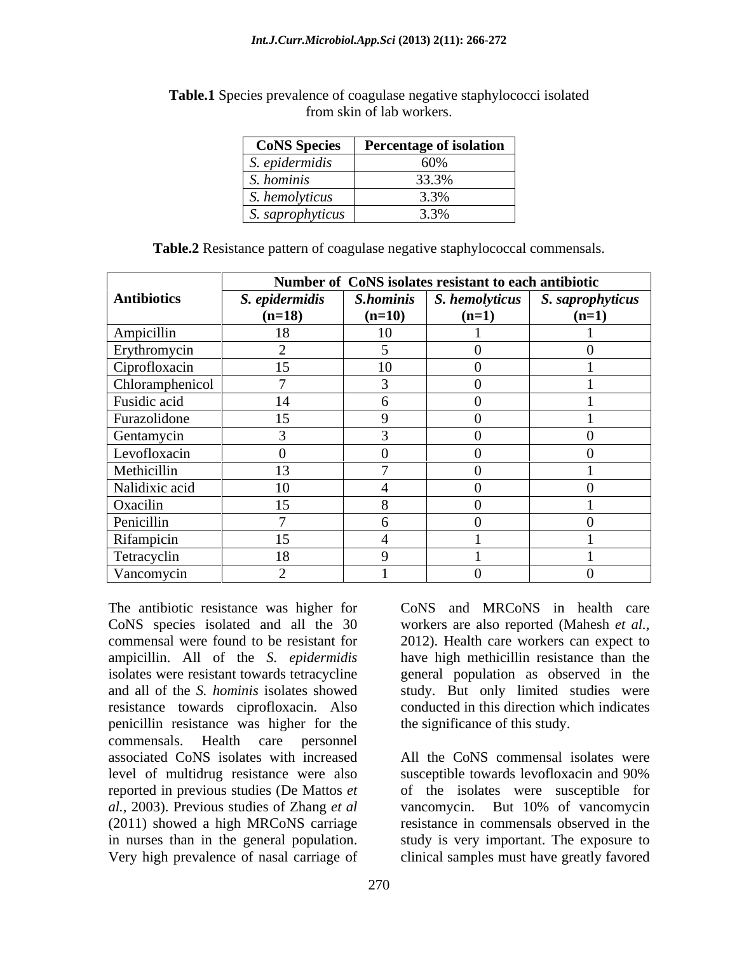|                                                            | <b>CoNS</b> Species   Percentage of isolation |
|------------------------------------------------------------|-----------------------------------------------|
| S. epidermials                                             | $\sim$ 0.01<br><b>OV 70</b>                   |
| S. hominis                                                 | 22.29<br>33.570                               |
| S. hemolyticus                                             | $\Omega$<br>$\sim$ . $\sim$ 70                |
| S. saprophyticus<br>$\mathbf{1}$ $\mathbf{1}$ $\mathbf{2}$ | 2.001<br>3.370                                |

**Table.1** Species prevalence of coagulase negative staphylococci isolated from skin of lab workers.

|  | <b>Table.2</b> Resistance pattern of coagulase negative staphylococcal commensals. |  |
|--|------------------------------------------------------------------------------------|--|
|--|------------------------------------------------------------------------------------|--|

|                    | Number of CoNS isolates resistant to each antibiotic |           |                        |                  |
|--------------------|------------------------------------------------------|-----------|------------------------|------------------|
| <b>Antibiotics</b> | S. epidermidis                                       | S.hominis | S. hemolyticus         | S. saprophyticus |
|                    | $(n=18)$                                             | $(n=10)$  | $(n=1)$                | $(n=1)$          |
| Ampicillin         | 18                                                   | 10        |                        |                  |
| Erythromycin       | $\sim$                                               |           | $\sim$<br>$\mathbf{U}$ |                  |
| Ciprofloxacin      | 15                                                   | 10        | $\theta$               |                  |
| Chloramphenicol    | $\overline{ }$                                       | $\sim$    | $\theta$               |                  |
| Fusidic acid       | 14                                                   |           |                        |                  |
| Furazolidone       | 15                                                   |           | $\theta$               |                  |
| Gentamycin         | $\sqrt{ }$                                           | $\sim$    | $\theta$               |                  |
| Levofloxacin       |                                                      |           | $\Omega$               |                  |
| Methicillin        | 13                                                   |           | $\theta$               |                  |
| Nalidixic acid     | 10                                                   |           | $\theta$               |                  |
| Oxacilin           | 15                                                   | 8         | $\Omega$               |                  |
| Penicillin         |                                                      |           |                        |                  |
| Rifampicin         | 15                                                   |           |                        |                  |
| Tetracyclin        | 18                                                   | $\Omega$  |                        |                  |
| Vancomycin         | $\bigcap$                                            |           | $\Omega$               |                  |

The antibiotic resistance was higher for resistance towards ciprofloxacin. Also penicillin resistance was higher for the commensals. Health care personnel level of multidrug resistance were also susceptible towards lever loxacin and 90%

CoNS species isolated and all the 30 workers are also reported (Mahesh *et al.,* commensal were found to be resistant for 2012). Health care workers can expect to ampicillin. All of the *S. epidermidis* have high methicillin resistance than the isolates were resistant towards tetracycline general population as observed in the and all of the *S. hominis* isolates showed study. But only limited studies were CoNS and MRCoNS in health care conducted in this direction which indicates the significance of this study.

associated CoNS isolates with increased All the CoNS commensal isolates were reported in previous studies (De Mattos *et*  of the isolates were susceptible for *al.,* 2003). Previous studies of Zhang *et al* vancomycin. But 10% of vancomycin (2011) showed a high MRCoNS carriage resistance in commensals observed in the in nurses than in the general population. Study is very important. The exposure to Very high prevalence of nasal carriage of clinical samples must have greatly favoredsusceptible towards levofloxacin and 90%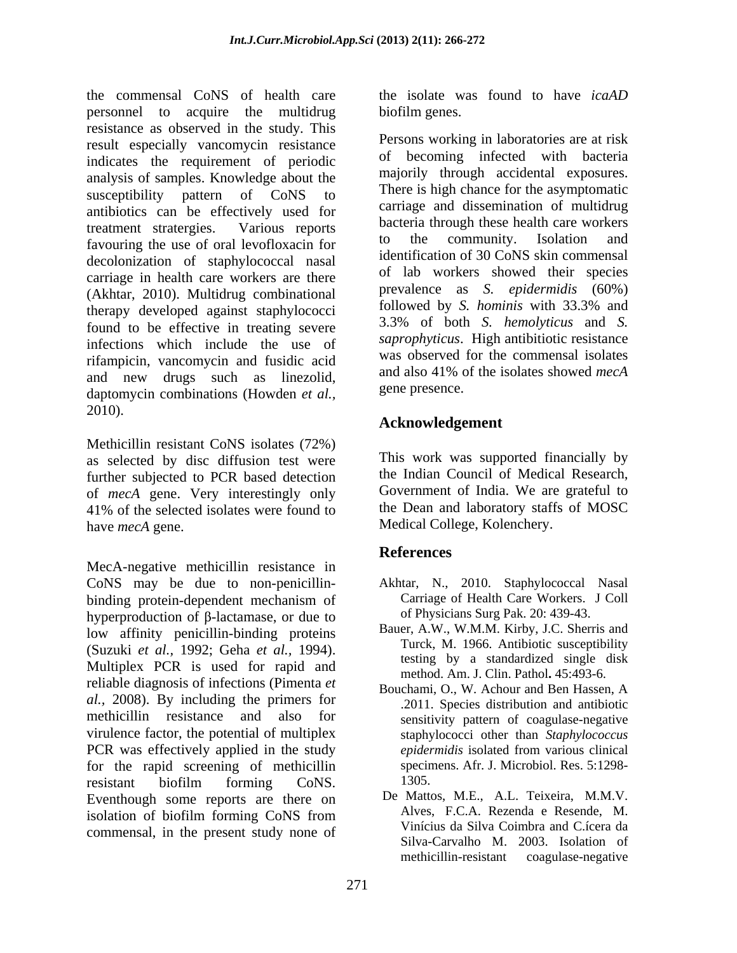the commensal CoNS of health care the isolate was found to have *icaAD*  personnel to acquire the multidrug resistance as observed in the study. This result especially vancomycin resistance indicates the requirement of periodic analysis of samples. Knowledge about the susceptibility pattern of CoNS to antibiotics can be effectively used for treatment stratergies. Various reports favouring the use of oral levofloxacin for the community. Isolation and decolonization of staphylococcal nasal carriage in health care workers are there (Akhtar, 2010). Multidrug combinational prevalence as S. *epidermidis* (60%)<br>there we developed against stanbulecess: followed by S. *hominis* with 33.3% and therapy developed against staphylococci found to be effective in treating severe infections which include the use of rifampicin, vancomycin and fusidic acid<br>and also 41% of the isolates showed mecA and new drugs such as linezolid, daptomycin combinations (Howden *et al.,* 2010).

Methicillin resistant CoNS isolates (72%) as selected by disc diffusion test were further subjected to PCR based detection of *mecA* gene. Very interestingly only 41% of the selected isolates were found to the Dean and laboratory staffs of MOSC have *mecA* gene. Medical College, Kolenchery.

MecA-negative methicillin resistance in CoNS may be due to non-penicillin- Akhtar, N., 2010. Staphylococcal Nasal binding protein-dependent mechanism of Carriage of Health Care Workers. J Coll hyperproduction of  $\beta$ -lactamase, or due to low affinity penicillin-binding proteins (Suzuki *et al.*, 1992; Geha *et al.*, 1994).<br>Multiplex PCR is used for rapid and the mathod Am I Clin Pothol 45:403.6 reliable diagnosis of infections (Pimenta *et*<br>Bouchami, O., W. Achour and Ben Hassen, A *al.,* 2008). By including the primers for methicillin resistance and also for virulence factor, the potential of multiplex staphylococci other than *Staphylococcus*  PCR was effectively applied in the study *epidermidis* isolated from various clinical for the rapid screening of methicillin specific specifics specific specific specific specific specific specific specific specific specific specific specific specific specific specific specific specific specific specific sp resistant biofilm forming CoNS. 1305. Eventhough some reports are there on isolation of biofilm forming CoNS from  $\overrightarrow{A}$  Alves, F.C.A. Rezenda e Resende, M. commensal, in the present study none of

biofilm genes.

Persons working in laboratories are at risk of becoming infected with bacteria majorily through accidental exposures. There is high chance for the asymptomatic carriage and dissemination of multidrug bacteria through these health care workers to the community. Isolation and identification of 30 CoNS skin commensal of lab workers showed their species prevalence as *S. epidermidis* (60%) followed by *S. hominis* with 33.3% and 3.3% of both *S. hemolyticus* and *S. saprophyticus*. High antibitiotic resistance was observed for the commensal isolates and also 41% of the isolates showed *mecA*  gene presence.

## **Acknowledgement**

This work was supported financially by the Indian Council of Medical Research, Government of India. We are grateful to the Dean and laboratory staffs of MOSC

# **References**

- Carriage of Health Care Workers. J Coll of Physicians Surg Pak. 20: 439-43.
- Bauer, A.W., W.M.M. Kirby, J.C. Sherris and Turck, M. 1966. Antibiotic susceptibility testing by a standardized single disk method. Am. J. Clin. Pathol**.** 45:493-6.
- Bouchami, O., W. Achour and Ben Hassen, A .2011. Species distribution and antibiotic sensitivity pattern of coagulase-negative *epidermidis* isolated from various clinical specimens. Afr. J. Microbiol. Res. 5:1298- 1305.
- De Mattos, M.E., A.L. Teixeira, M.M.V. Alves, F.C.A. Rezenda e Resende, M. Vinícius da Silva Coimbra and C.ícera da Silva-Carvalho M. 2003. Isolation of methicillin-resistant coagulase-negative